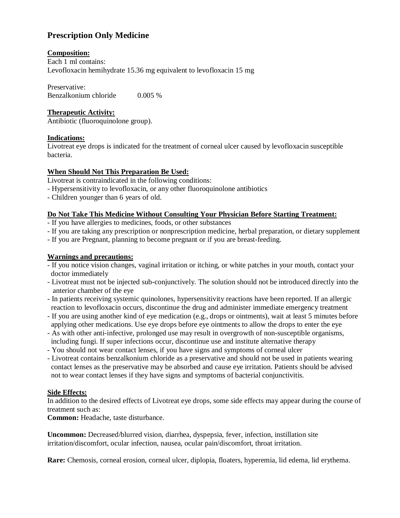# **Prescription Only Medicine**

# **Composition:**

Each 1 ml contains: Levofloxacin hemihydrate 15.36 mg equivalent to levofloxacin 15 mg

Preservative: Benzalkonium chloride 0.005 %

# **Therapeutic Activity:**

Antibiotic (fluoroquinolone group).

# **Indications:**

Livotreat eye drops is indicated for the treatment of corneal ulcer caused by levofloxacin susceptible bacteria.

# **When Should Not This Preparation Be Used:**

Livotreat is contraindicated in the following conditions:

- Hypersensitivity to levofloxacin, or any other fluoroquinolone antibiotics
- Children younger than 6 years of old.

# **Do Not Take This Medicine Without Consulting Your Physician Before Starting Treatment:**

- If you have allergies to medicines, foods, or other substances
- If you are taking any prescription or nonprescription medicine, herbal preparation, or dietary supplement
- If you are Pregnant, planning to become pregnant or if you are breast-feeding.

# **Warnings and precautions:**

- If you notice vision changes, vaginal irritation or itching, or white patches in your mouth, contact your doctor immediately
- Livotreat must not be injected sub-conjunctively. The solution should not be introduced directly into the anterior chamber of the eye
- In patients receiving systemic quinolones, hypersensitivity reactions have been reported. If an allergic reaction to levofloxacin occurs, discontinue the drug and administer immediate emergency treatment
- If you are using another kind of eye medication (e.g., drops or ointments), wait at least 5 minutes before applying other medications. Use eye drops before eye ointments to allow the drops to enter the eye
- As with other anti-infective, prolonged use may result in overgrowth of non-susceptible organisms, including fungi. If super infections occur, discontinue use and institute alternative therapy
- You should not wear contact lenses, if you have signs and symptoms of corneal ulcer
- Livotreat contains benzalkonium chloride as a preservative and should not be used in patients wearing contact lenses as the preservative may be absorbed and cause eye irritation. Patients should be advised not to wear contact lenses if they have signs and symptoms of bacterial conjunctivitis.

### **Side Effects:**

In addition to the desired effects of Livotreat eye drops, some side effects may appear during the course of treatment such as:

**Common:** Headache, taste disturbance.

**Uncommon:** Decreased/blurred vision, diarrhea, dyspepsia, fever, infection, instillation site irritation/discomfort, ocular infection, nausea, ocular pain/discomfort, throat irritation.

**Rare:** Chemosis, corneal erosion, corneal ulcer, diplopia, floaters, hyperemia, lid edema, lid erythema.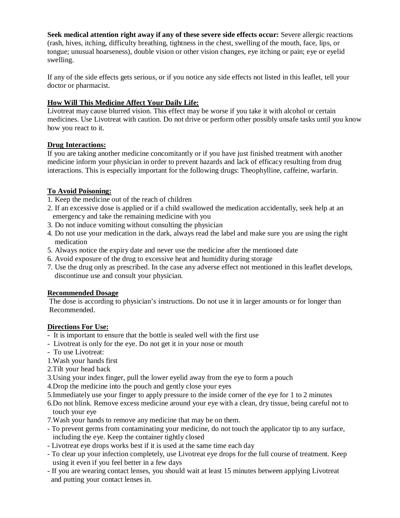**Seek medical attention right away if any of these severe side effects occur:** Severe allergic reactions (rash, hives, itching, difficulty breathing, tightness in the chest, swelling of the mouth, face, lips, or tongue; unusual hoarseness), double vision or other vision changes, eye itching or pain; eye or eyelid swelling.

If any of the side effects gets serious, or if you notice any side effects not listed in this leaflet, tell your doctor or pharmacist.

# **How Will This Medicine Affect Your Daily Life:**

Livotreat may cause blurred vision. This effect may be worse if you take it with alcohol or certain medicines. Use Livotreat with caution. Do not drive or perform other possibly unsafe tasks until you know how you react to it.

### **Drug Interactions:**

If you are taking another medicine concomitantly or if you have just finished treatment with another medicine inform your physician in order to prevent hazards and lack of efficacy resulting from drug interactions. This is especially important for the following drugs: Theophylline, caffeine, warfarin.

### **To Avoid Poisoning:**

- 1. Keep the medicine out of the reach of children
- 2. If an excessive dose is applied or if a child swallowed the medication accidentally, seek help at an emergency and take the remaining medicine with you
- 3. Do not induce vomiting without consulting the physician
- 4. Do not use your medication in the dark, always read the label and make sure you are using the right medication
- 5. Always notice the expiry date and never use the medicine after the mentioned date
- 6. Avoid exposure of the drug to excessive heat and humidity during storage
- 7. Use the drug only as prescribed. In the case any adverse effect not mentioned in this leaflet develops, discontinue use and consult your physician.

### **Recommended Dosage**

The dose is according to physician's instructions. Do not use it in larger amounts or for longer than Recommended.

### **Directions For Use:**

- It is important to ensure that the bottle is sealed well with the first use
- Livotreat is only for the eye. Do not get it in your nose or mouth
- To use Livotreat:
- 1.Wash your hands first
- 2.Tilt your head back
- 3.Using your index finger, pull the lower eyelid away from the eye to form a pouch
- 4.Drop the medicine into the pouch and gently close your eyes
- 5.Immediately use your finger to apply pressure to the inside corner of the eye for 1 to 2 minutes
- 6.Do not blink. Remove excess medicine around your eye with a clean, dry tissue, being careful not to touch your eye
- 7.Wash your hands to remove any medicine that may be on them.
- To prevent germs from contaminating your medicine, do not touch the applicator tip to any surface, including the eye. Keep the container tightly closed
- Livotreat eye drops works best if it is used at the same time each day
- To clear up your infection completely, use Livotreat eye drops for the full course of treatment. Keep using it even if you feel better in a few days
- If you are wearing contact lenses, you should wait at least 15 minutes between applying Livotreat and putting your contact lenses in.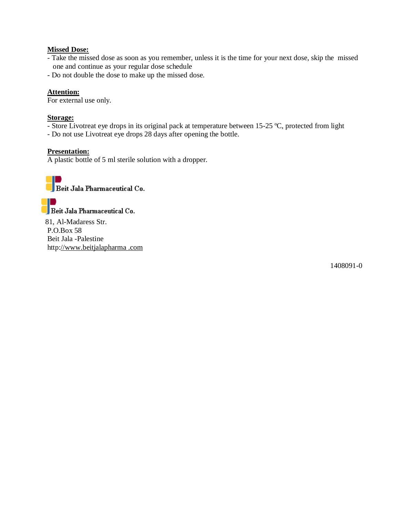#### **Missed Dose:**

- Take the missed dose as soon as you remember, unless it is the time for your next dose, skip the missed one and continue as your regular dose schedule
- Do not double the dose to make up the missed dose.

#### **Attention:**

For external use only.

#### **Storage:**

- Store Livotreat eye drops in its original pack at temperature between 15-25 ºC, protected from light
- Do not use Livotreat eye drops 28 days after opening the bottle.

#### **Presentation:**

A plastic bottle of 5 ml sterile solution with a dropper.



Beit Jala Pharmaceutical Co.

 81, Al-Madaress Str. P.O.Box 58 Beit Jala -Palestine http://www.beitjalapharma .com

1408091-0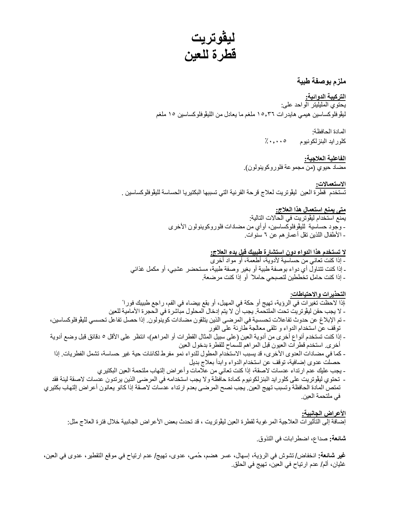**لیڤوتریت قطرة للعین** 

### **ملزم بوصفة طبیة**

**التركیبة الدوائیة:**  یحتوي الملیلیتر الواحد على: لیڤوفلوكساسین ھیمي ھایدرات ١٥٫٣٦ ملغم ما یعادل من اللیڤوفلوكساسین ١٥ ملغم

> المادة الحافظة: كلوراید البنزلكونیوم ٪٠٫٠٠٥

**الفاعلیة العلاجیة:**  مضاد حیوي (من مجموعة فلوروكوینولون).

**الاستعمالات:**  تستخدم قطرة العین لیڤوتریت لعلاج قرحة القرنیة التي تسببھا البكتیریا الحساسة للیڤوفلوكساسین .

#### **متى یمنع استعمال ھذا العلاج:** یمنع استخدام لیڤوتریت في الحالات التالیة: - وجود حساسیة للیڤوفلوكساسین، أوأي من مضادات فلوروكوینولون الأخرى - الأطفال اللذین تقل أعمارھم عن ٦ سنوات.

**لا تستخدم ھذا الدواء دون استشارة طبیبك قبل بدء العلاج:**  - إذا كنت تعاني من حساسیة لأدویة، أطعمة، أو مواد أخرى ـ إذا كنت تتناول أي دواء بوصفة طبیة أو بغیر وصفة طبیة، مستحضر عشبي، أو مكمل غذائي - إذا كنت حامل، تخططین لتصبحي حاملا ً أو إذا كنت مرضعة.

**التحذیرات والاحتیاطات**: -إذا لاحظت تغیرات في الرؤیة، تھیج أو حكة في المھبل، أو بقع بیضاء في الفم، راجع طبیبك فورا ً - لا یجب حقن لیڤوتریت تحت الملتحمة. یجب أن لا یتم إدخال المحلول مباشرة في الحجرة الأمامیة للعین - تم الإبلاغ عن حدوث تفاعلات تحسسیة في المرضى الذین یتلقون مضادات كوینولون. إذا حصل تفاعل تحسسي للیڤوفلوكساسین، توقف عن استخدام الدواء و تلقى معالجة طارئة على الفور - إذا كنت تستخدم أنواع أخرى من أدویة العین (على سبیل المثال القطرات أو المراھم)، انتظر على الأقل ٥ دقائق قبل وضع أدویة أخرى. استخدم قطرات العیون قبل المراھم للسماح للقطرة بدخول العین - كما في مضادات العدوى الأخرى، قد یسبب الاستخدام المطول للدواء نمو مفرط لكائنات حیة غیر حساسة، تشمل الفطریات. إذا حصلت عدوى إضافیة، توقف عن استخدام الدواء وابدأ بعلاج بدیل - یجب علیك عدم ارتداء عدسات لاصقة، إذا كنت تعاني من علامات وأعراض إلتھاب ملتحمة العین البكتیري

- تحتوي لیڤوتریت على كلوراید البنزلكونیوم كمادة حافظة ولا یجب استخدامھ في المرضى الذین یرتدون عدسات لاصقة لینة فقد تمتص المادة الحافظة وتسبب تھیج العین. یجب نصح المرضى بعدم ارتداء عدسات لاصقة إذا كانو یعانون أعراض إلتھاب بكتیري في ملتحمة العین.

**الأعراض الجانبیة:**  إضافة إلى التأثیرات العلاجیة المرغوبة لقطرة العین لیڤوتریت ، قد تحدث بعض الأعراض الجانبیة خلال فترة العلاج مثل:

**شائعة:** صداع، اضطرابات في التذوق.

**غیر شائعة:** انخفاض/ تشوش في الرؤیة، إسھال، عسر ھضم، حُ مى، عدوى، تھیج/ عدم ارتیاح في موقع التقطیر، عدوى في العین، غثیان، ألم/ عدم ارتیاح في العین، تھیج في الحلق.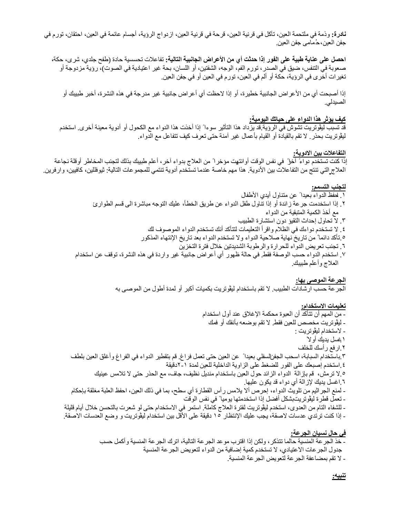**نادرة:** وذمة في ملتحمة العین، تآكل في قرنیة العین، قرحة في قرنیة العین، ازدواج الرؤیة، أجسام عائمة في العین، احتقان، تورم في جفن العین، حُ مامى جفن العین.

**احصل على عنایة طبیة على الفور إذا حدثت أي من الأعراض الجانبیة التالیة:** تفاعلات تحسسیة حادة (طفح جلدي، شرى، حكة، صعوبة في التنفس، ضیق في الصدر، تورم الفم، الوجھ، الشفتین، أو اللسان، بحة غیر اعتیادیة في الصوت)، رؤیة مزدوجة أو تغیرات أخرى في الرؤیة، حكة أو ألم في العین، تورم في العین أو في جفن العین.

إذا أصبحت أي من الأعراض الجانبیة خطیرة، أو إذا لاحظت أي أعراض جانبیة غیر مدرجة في ھذه النشرة، أخبر طبیبك أو الصیدلي.

#### **كیف یؤثر ھذا الدواء على حیاتك الیومیة:**

قد تسبب لیڤوتریت تشوش في الرؤیة. قد یزداد ھذا التأثیر سوءا ً إذا أخذت ھذا الدواء مع الكحول أو أدویة معینة أخرى. استخدم لیڤوتریت بحذر. لا تقم بالقیادة أو القیام بأعمال غیر آمنة حتى تعرف كیف تتفاعل مع الدواء.

#### **التفاعلات بین الادویة:**

ٳذا كنت تستخدم دواءً آخرا ً في نفس الوقت أوانتھیت مؤخرا ً من العلاج بدواء آخر، أعلم طبیبك بذلك لتجنب المخاطر أوقلة نجاعة العلاج التي تنتج من التفاعلات بین الأدویة. ھذا مھم خاصة عندما تستخدم أدویة تنتمي للمجموعات التالیة: ثیوفللین، كافیین، وارفرین.

#### **لتجنب التسمم:**

# .١ احفظ الدواء بعیدا ً عن متناول أیدي الأطفال .٢ ٳذا استخدمت جرعة زائدة أو ٳذا تناول طفل الدواء عن طریق الخطأ، علیك التوجھ مباشرة الى قسم الطوارئ مع أخذ الكمیة المتبقیة من الدواء

- .٣ لا تحاول إحداث التقیؤ دون استشارة الطبیب
- .٤ لا تستخدم دواءك في الظلام واقرأ التعلیمات لتتأكد أنك تستخدم الدواء الموصوف لك
- .٥ تأكد دائما ً من تاریخ نھایة صلاحیة الدواء ولا تستخدم الدواء بعد تاریخ اٺنتھاء المذكور
	- .٦ تجنب تعریض الدواء للحرارة والرطوبة الشدیدتین خلال فترة التخزین
- .٧ استخدم الدواء حسب الوصفة فقط. في حالة ظھور أي أعراض جانبیة غیر واردة في ھذه النشرة، توقف عن استخدام العلاج وأعلم طبیبك.

**الجرعة الموصى بھا:** 

الجرعة حسب ارشادات الطبیب. لا تقم باستخدام لیڤوتریت بكمیات أكبر أو لمدة أطول من الموصى بھ

#### **تعلیمات الاستخدام:**

- من المھم أن تتأكد أن العبوة محكمة الإغلاق عند أول استخدام
	- لیڤوتریت مخصص للعین فقط. لا تقم بوضعھ بأنفك أو فمك
		- لاستخدام لیڤوتریت :
			- .١غسل یدیك أولا ً
		- .٢ارفع رأسك للخلف
- .٣باستخدام السبابة، اسحب الجفن السفلي بعیدا ً عن العین حتى تعمل فراغ. قم بتقطیر الدواء في الفراغ وأغلق العین بلطف .٤استخدم إصبعك على الفور للضغط على الزاویة الداخلیة للعین لمدة ٢-١دقیقة .٥لا ترمش، قم بإزالة الدواء الزائد حول العین باستخدام مندیل نظیف، جاف، مع الحذر حتى لا تلامس عینیك
	- .٦اغسل یدیك لإزالة أي دواء قد یكون علیھا.
- لمنع الجراثیم من تلویث الدواء، إحرص ألا یلامس رأس القطارة أي سطح، بما في ذلك العین، احفظ العلبة مغلقة بإحكام - تعمل قطرة لیڤوتریتبشكل أفضل إذا استخدمتھا یومیا ً في نفس الوقت
- للشفاء التام من العدوى، استخدم لیڤوتریت لفترة العلاج كاملة. استمر في الاستخدام حتى لو شعرت بالتحسن خلال أیام قلیلة - إذا كنت ترتدي عدسات لاصقة، یجب علیك الإنتظار ١٥ دقیقة على الأقل بین استخدام لیڤوتریت و وضع العدسات الاصقة.

### **في حال نسیان الجرعة:**

- خذ الجرعة المنسیة حالما تتذكر، ولكن إذا اقترب موعد الجرعة التالیة، اترك الجرعة المنسیة وأكمل حسب جدول الجرعات الاعتیادي، لا تستخدم كمیة إضافیة من الدواء لتعویض الجرعة المنسیة - لا تقم بمضاعفة الجرعة لتعویض الجرعة المنسیة.